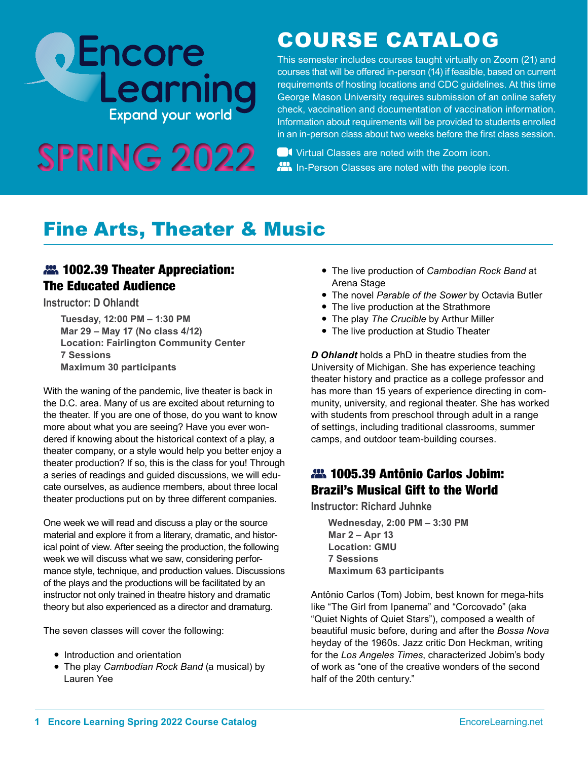# **DEncore**<br>Learning

# COURSE CATALOG

This semester includes courses taught virtually on Zoom (21) and courses that will be offered in-person (14) if feasible, based on current requirements of hosting locations and CDC guidelines. At this time George Mason University requires submission of an online safety check, vaccination and documentation of vaccination information. Information about requirements will be provided to students enrolled in an in-person class about two weeks before the first class session.

SPRING 2022 **BU** Virtual Classes are noted with the Zoom icon.

# Fine Arts, Theater & Music

## **22.** 1002.39 Theater Appreciation: The Educated Audience

**Instructor: D Ohlandt**

**Tuesday, 12:00 PM – 1:30 PM Mar 29 – May 17 (No class 4/12) Location: Fairlington Community Center 7 Sessions Maximum 30 participants**

With the waning of the pandemic, live theater is back in the D.C. area. Many of us are excited about returning to the theater. If you are one of those, do you want to know more about what you are seeing? Have you ever wondered if knowing about the historical context of a play, a theater company, or a style would help you better enjoy a theater production? If so, this is the class for you! Through a series of readings and guided discussions, we will educate ourselves, as audience members, about three local theater productions put on by three different companies.

One week we will read and discuss a play or the source material and explore it from a literary, dramatic, and historical point of view. After seeing the production, the following week we will discuss what we saw, considering performance style, technique, and production values. Discussions of the plays and the productions will be facilitated by an instructor not only trained in theatre history and dramatic theory but also experienced as a director and dramaturg.

The seven classes will cover the following:

- Introduction and orientation
- The play *Cambodian Rock Band* (a musical) by Lauren Yee
- The live production of *Cambodian Rock Band* at Arena Stage
- The novel *Parable of the Sower* by Octavia Butler
- The live production at the Strathmore
- The play *The Crucible* by Arthur Miller
- The live production at Studio Theater

*D Ohlandt* holds a PhD in theatre studies from the University of Michigan. She has experience teaching theater history and practice as a college professor and has more than 15 years of experience directing in community, university, and regional theater. She has worked with students from preschool through adult in a range of settings, including traditional classrooms, summer camps, and outdoor team-building courses.

## 1005.39 Antônio Carlos Jobim: Brazil's Musical Gift to the World

**Instructor: Richard Juhnke**

**Wednesday, 2:00 PM – 3:30 PM Mar 2 – Apr 13 Location: GMU 7 Sessions Maximum 63 participants**

Antônio Carlos (Tom) Jobim, best known for mega-hits like "The Girl from Ipanema" and "Corcovado" (aka "Quiet Nights of Quiet Stars"), composed a wealth of beautiful music before, during and after the *Bossa Nova* heyday of the 1960s. Jazz critic Don Heckman, writing for the *Los Angeles Times*, characterized Jobim's body of work as "one of the creative wonders of the second half of the 20th century."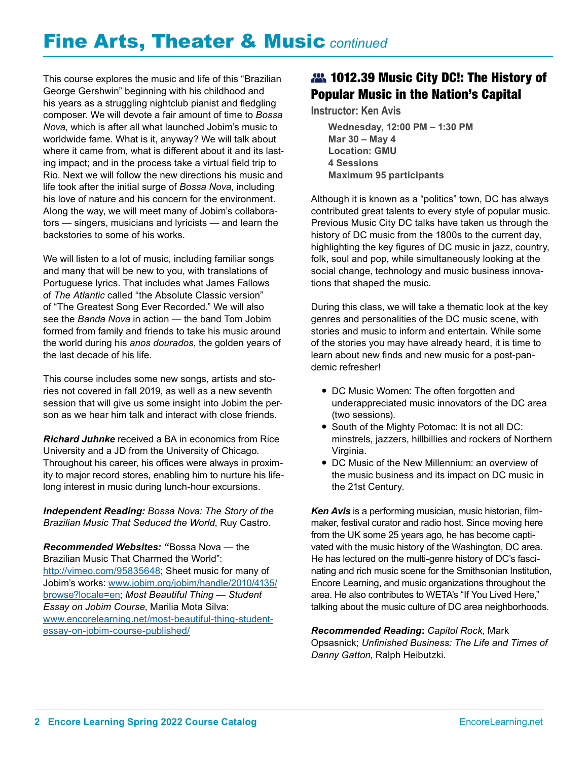# Fine Arts, Theater & Music *continued*

This course explores the music and life of this "Brazilian George Gershwin" beginning with his childhood and his years as a struggling nightclub pianist and fledgling composer. We will devote a fair amount of time to *Bossa Nova*, which is after all what launched Jobim's music to worldwide fame. What is it, anyway? We will talk about where it came from, what is different about it and its lasting impact; and in the process take a virtual field trip to Rio. Next we will follow the new directions his music and life took after the initial surge of *Bossa Nova*, including his love of nature and his concern for the environment. Along the way, we will meet many of Jobim's collaborators — singers, musicians and lyricists — and learn the backstories to some of his works.

We will listen to a lot of music, including familiar songs and many that will be new to you, with translations of Portuguese lyrics. That includes what James Fallows of *The Atlantic* called "the Absolute Classic version" of "The Greatest Song Ever Recorded." We will also see the *Banda Nova* in action — the band Tom Jobim formed from family and friends to take his music around the world during his *anos dourados*, the golden years of the last decade of his life.

This course includes some new songs, artists and stories not covered in fall 2019, as well as a new seventh session that will give us some insight into Jobim the person as we hear him talk and interact with close friends.

*Richard Juhnke* received a BA in economics from Rice University and a JD from the University of Chicago. Throughout his career, his offices were always in proximity to major record stores, enabling him to nurture his lifelong interest in music during lunch-hour excursions.

*Independent Reading: Bossa Nova: The Story of the Brazilian Music That Seduced the World*, Ruy Castro.

*Recommended Websites: "*Bossa Nova — the Brazilian Music That Charmed the World": <http://vimeo.com/95835648>; Sheet music for many of Jobim's works: [www.jobim.org/jobim/handle/2010/4135/](http://www.jobim.org/jobim/handle/2010/4135/browse?locale=en) [browse?locale=en;](http://www.jobim.org/jobim/handle/2010/4135/browse?locale=en) *Most Beautiful Thing — Student Essay on Jobim Course*, Marilia Mota Silva: [www.encorelearning.net/most-beautiful-thing-student](http://www.encorelearning.net/most-beautiful-thing-student-essay-on-jobim-course-published/)[essay-on-jobim-course-published/](http://www.encorelearning.net/most-beautiful-thing-student-essay-on-jobim-course-published/)

#### **22.** 1012.39 Music City DC!: The History of Popular Music in the Nation's Capital

**Instructor: Ken Avis**

**Wednesday, 12:00 PM – 1:30 PM Mar 30 – May 4 Location: GMU 4 Sessions Maximum 95 participants**

Although it is known as a "politics" town, DC has always contributed great talents to every style of popular music. Previous Music City DC talks have taken us through the history of DC music from the 1800s to the current day, highlighting the key figures of DC music in jazz, country, folk, soul and pop, while simultaneously looking at the social change, technology and music business innovations that shaped the music.

During this class, we will take a thematic look at the key genres and personalities of the DC music scene, with stories and music to inform and entertain. While some of the stories you may have already heard, it is time to learn about new finds and new music for a post-pandemic refresher!

- DC Music Women: The often forgotten and underappreciated music innovators of the DC area (two sessions).
- South of the Mighty Potomac: It is not all DC: minstrels, jazzers, hillbillies and rockers of Northern Virginia.
- DC Music of the New Millennium: an overview of the music business and its impact on DC music in the 21st Century.

*Ken Avis* is a performing musician, music historian, filmmaker, festival curator and radio host. Since moving here from the UK some 25 years ago, he has become captivated with the music history of the Washington, DC area. He has lectured on the multi-genre history of DC's fascinating and rich music scene for the Smithsonian Institution, Encore Learning, and music organizations throughout the area. He also contributes to WETA's "If You Lived Here," talking about the music culture of DC area neighborhoods.

*Recommended Reading***:** *Capitol Rock*, Mark Opsasnick; *Unfinished Business: The Life and Times of Danny Gatton*, Ralph Heibutzki.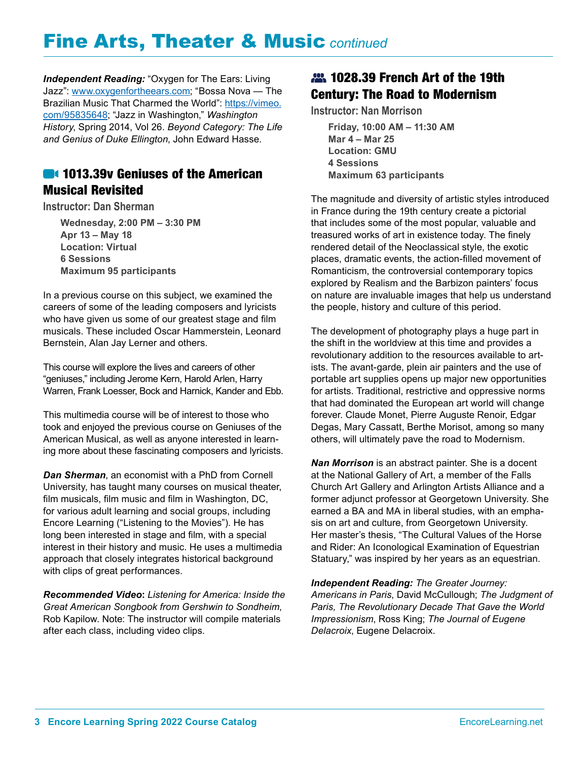# Fine Arts, Theater & Music *continued*

*Independent Reading:* "Oxygen for The Ears: Living Jazz": [www.oxygenfortheears.com;](http://www.oxygenfortheears.com) "Bossa Nova — The Brazilian Music That Charmed the World": [https://vimeo.](https://vimeo.com/95835648) [com/95835648](https://vimeo.com/95835648); "Jazz in Washington," *Washington History*, Spring 2014, Vol 26. *Beyond Category: The Life and Genius of Duke Ellington*, John Edward Hasse.

#### **1013.39v Geniuses of the American** Musical Revisited

**Instructor: Dan Sherman**

**Wednesday, 2:00 PM – 3:30 PM Apr 13 – May 18 Location: Virtual 6 Sessions Maximum 95 participants**

In a previous course on this subject, we examined the careers of some of the leading composers and lyricists who have given us some of our greatest stage and film musicals. These included Oscar Hammerstein, Leonard Bernstein, Alan Jay Lerner and others.

This course will explore the lives and careers of other "geniuses," including Jerome Kern, Harold Arlen, Harry Warren, Frank Loesser, Bock and Harnick, Kander and Ebb.

This multimedia course will be of interest to those who took and enjoyed the previous course on Geniuses of the American Musical, as well as anyone interested in learning more about these fascinating composers and lyricists.

*Dan Sherman*, an economist with a PhD from Cornell University, has taught many courses on musical theater, film musicals, film music and film in Washington, DC, for various adult learning and social groups, including Encore Learning ("Listening to the Movies"). He has long been interested in stage and film, with a special interest in their history and music. He uses a multimedia approach that closely integrates historical background with clips of great performances.

*Recommended Video***:** *Listening for America: Inside the Great American Songbook from Gershwin to Sondheim*, Rob Kapilow. Note: The instructor will compile materials after each class, including video clips.

## **22.** 1028.39 French Art of the 19th Century: The Road to Modernism

**Instructor: Nan Morrison**

**Friday, 10:00 AM – 11:30 AM Mar 4 – Mar 25 Location: GMU 4 Sessions Maximum 63 participants**

The magnitude and diversity of artistic styles introduced in France during the 19th century create a pictorial that includes some of the most popular, valuable and treasured works of art in existence today. The finely rendered detail of the Neoclassical style, the exotic places, dramatic events, the action-filled movement of Romanticism, the controversial contemporary topics explored by Realism and the Barbizon painters' focus on nature are invaluable images that help us understand the people, history and culture of this period.

The development of photography plays a huge part in the shift in the worldview at this time and provides a revolutionary addition to the resources available to artists. The avant-garde, plein air painters and the use of portable art supplies opens up major new opportunities for artists. Traditional, restrictive and oppressive norms that had dominated the European art world will change forever. Claude Monet, Pierre Auguste Renoir, Edgar Degas, Mary Cassatt, Berthe Morisot, among so many others, will ultimately pave the road to Modernism.

*Nan Morrison* is an abstract painter. She is a docent at the National Gallery of Art, a member of the Falls Church Art Gallery and Arlington Artists Alliance and a former adjunct professor at Georgetown University. She earned a BA and MA in liberal studies, with an emphasis on art and culture, from Georgetown University. Her master's thesis, "The Cultural Values of the Horse and Rider: An Iconological Examination of Equestrian Statuary," was inspired by her years as an equestrian.

*Independent Reading: The Greater Journey: Americans in Paris*, David McCullough; *The Judgment of Paris, The Revolutionary Decade That Gave the World Impressionism*, Ross King; *The Journal of Eugene Delacroix*, Eugene Delacroix.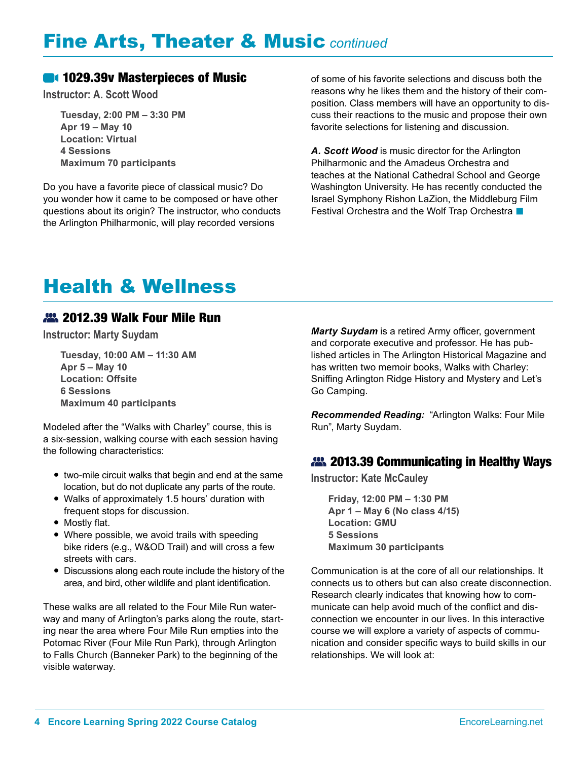## Fine Arts, Theater & Music *continued*

#### **1029.39v Masterpieces of Music**

**Instructor: A. Scott Wood**

**Tuesday, 2:00 PM – 3:30 PM Apr 19 – May 10 Location: Virtual 4 Sessions Maximum 70 participants**

Do you have a favorite piece of classical music? Do you wonder how it came to be composed or have other questions about its origin? The instructor, who conducts the Arlington Philharmonic, will play recorded versions

of some of his favorite selections and discuss both the reasons why he likes them and the history of their composition. Class members will have an opportunity to discuss their reactions to the music and propose their own favorite selections for listening and discussion.

*A. Scott Wood* is music director for the Arlington Philharmonic and the Amadeus Orchestra and teaches at the National Cathedral School and George Washington University. He has recently conducted the Israel Symphony Rishon LaZion, the Middleburg Film Festival Orchestra and the Wolf Trap Orchestra

# Health & Wellness

#### 22. 2012.39 Walk Four Mile Run

**Instructor: Marty Suydam**

**Tuesday, 10:00 AM – 11:30 AM Apr 5 – May 10 Location: Offsite 6 Sessions Maximum 40 participants**

Modeled after the "Walks with Charley" course, this is a six-session, walking course with each session having the following characteristics:

- two-mile circuit walks that begin and end at the same location, but do not duplicate any parts of the route.
- Walks of approximately 1.5 hours' duration with frequent stops for discussion.
- Mostly flat.
- Where possible, we avoid trails with speeding bike riders (e.g., W&OD Trail) and will cross a few streets with cars.
- Discussions along each route include the history of the area, and bird, other wildlife and plant identification.

These walks are all related to the Four Mile Run waterway and many of Arlington's parks along the route, starting near the area where Four Mile Run empties into the Potomac River (Four Mile Run Park), through Arlington to Falls Church (Banneker Park) to the beginning of the visible waterway.

*Marty Suydam* is a retired Army officer, government and corporate executive and professor. He has published articles in The Arlington Historical Magazine and has written two memoir books, Walks with Charley: Sniffing Arlington Ridge History and Mystery and Let's Go Camping.

*Recommended Reading:* "Arlington Walks: Four Mile Run", Marty Suydam.

#### **2013.39 Communicating in Healthy Ways**

**Instructor: Kate McCauley**

**Friday, 12:00 PM – 1:30 PM Apr 1 – May 6 (No class 4/15) Location: GMU 5 Sessions Maximum 30 participants**

Communication is at the core of all our relationships. It connects us to others but can also create disconnection. Research clearly indicates that knowing how to communicate can help avoid much of the conflict and disconnection we encounter in our lives. In this interactive course we will explore a variety of aspects of communication and consider specific ways to build skills in our relationships. We will look at: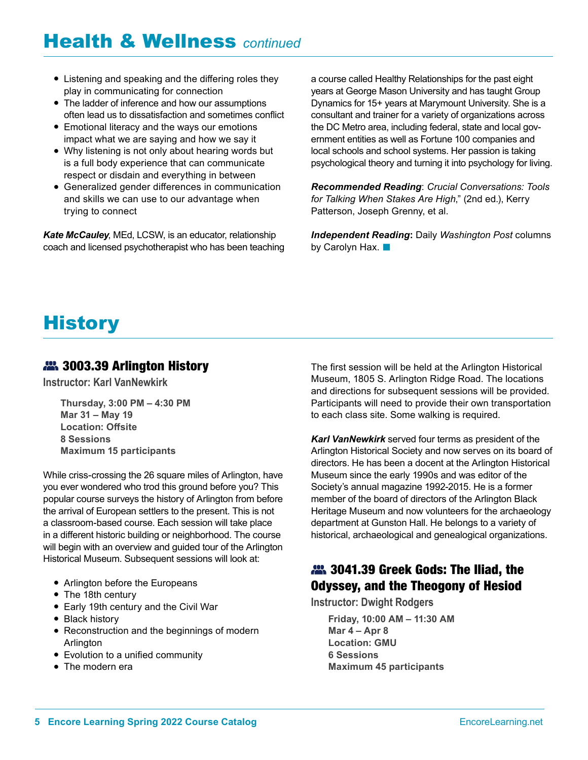# Health & Wellness *continued*

- Listening and speaking and the differing roles they play in communicating for connection
- The ladder of inference and how our assumptions often lead us to dissatisfaction and sometimes conflict
- Emotional literacy and the ways our emotions impact what we are saying and how we say it
- Why listening is not only about hearing words but is a full body experience that can communicate respect or disdain and everything in between
- Generalized gender differences in communication and skills we can use to our advantage when trying to connect

*Kate McCauley*, MEd, LCSW, is an educator, relationship coach and licensed psychotherapist who has been teaching a course called Healthy Relationships for the past eight years at George Mason University and has taught Group Dynamics for 15+ years at Marymount University. She is a consultant and trainer for a variety of organizations across the DC Metro area, including federal, state and local government entities as well as Fortune 100 companies and local schools and school systems. Her passion is taking psychological theory and turning it into psychology for living.

*Recommended Reading*: *Crucial Conversations: Tools for Talking When Stakes Are High*," (2nd ed.), Kerry Patterson, Joseph Grenny, et al.

*Independent Reading***:** Daily *Washington Post* columns by Carolyn Hax.  $\blacksquare$ 

# **History**

#### **22.** 3003.39 Arlington History

**Instructor: Karl VanNewkirk**

**Thursday, 3:00 PM – 4:30 PM Mar 31 – May 19 Location: Offsite 8 Sessions Maximum 15 participants**

While criss-crossing the 26 square miles of Arlington, have you ever wondered who trod this ground before you? This popular course surveys the history of Arlington from before the arrival of European settlers to the present. This is not a classroom-based course. Each session will take place in a different historic building or neighborhood. The course will begin with an overview and guided tour of the Arlington Historical Museum. Subsequent sessions will look at:

- Arlington before the Europeans
- The 18th century
- Early 19th century and the Civil War
- Black history
- Reconstruction and the beginnings of modern Arlington
- Evolution to a unified community
- The modern era

The first session will be held at the Arlington Historical Museum, 1805 S. Arlington Ridge Road. The locations and directions for subsequent sessions will be provided. Participants will need to provide their own transportation to each class site. Some walking is required.

*Karl VanNewkirk* served four terms as president of the Arlington Historical Society and now serves on its board of directors. He has been a docent at the Arlington Historical Museum since the early 1990s and was editor of the Society's annual magazine 1992-2015. He is a former member of the board of directors of the Arlington Black Heritage Museum and now volunteers for the archaeology department at Gunston Hall. He belongs to a variety of historical, archaeological and genealogical organizations.

## **22.** 3041.39 Greek Gods: The Iliad, the Odyssey, and the Theogony of Hesiod

**Instructor: Dwight Rodgers**

**Friday, 10:00 AM – 11:30 AM Mar 4 – Apr 8 Location: GMU 6 Sessions Maximum 45 participants**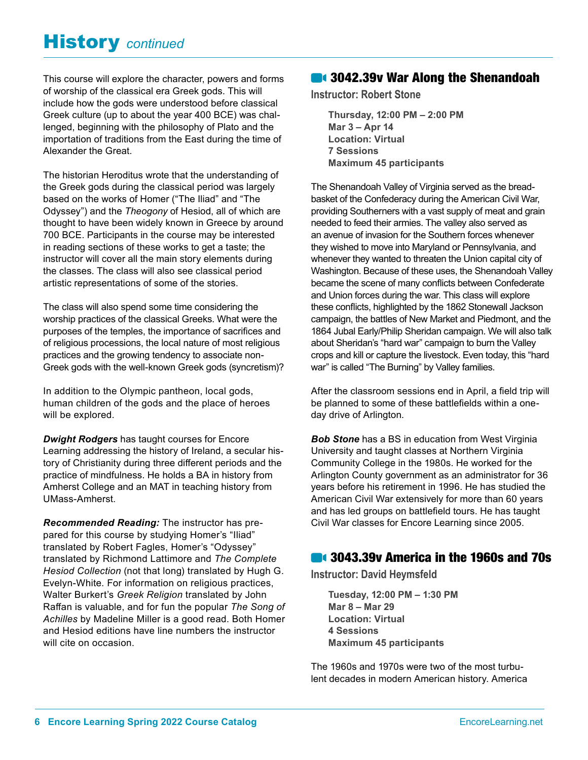## History *continued*

This course will explore the character, powers and forms of worship of the classical era Greek gods. This will include how the gods were understood before classical Greek culture (up to about the year 400 BCE) was challenged, beginning with the philosophy of Plato and the importation of traditions from the East during the time of Alexander the Great.

The historian Heroditus wrote that the understanding of the Greek gods during the classical period was largely based on the works of Homer ("The Iliad" and "The Odyssey") and the *Theogony* of Hesiod, all of which are thought to have been widely known in Greece by around 700 BCE. Participants in the course may be interested in reading sections of these works to get a taste; the instructor will cover all the main story elements during the classes. The class will also see classical period artistic representations of some of the stories.

The class will also spend some time considering the worship practices of the classical Greeks. What were the purposes of the temples, the importance of sacrifices and of religious processions, the local nature of most religious practices and the growing tendency to associate non-Greek gods with the well-known Greek gods (syncretism)?

In addition to the Olympic pantheon, local gods, human children of the gods and the place of heroes will be explored.

*Dwight Rodgers* has taught courses for Encore Learning addressing the history of Ireland, a secular history of Christianity during three different periods and the practice of mindfulness. He holds a BA in history from Amherst College and an MAT in teaching history from UMass-Amherst.

*Recommended Reading:* The instructor has prepared for this course by studying Homer's "Iliad" translated by Robert Fagles, Homer's "Odyssey" translated by Richmond Lattimore and *The Complete Hesiod Collection* (not that long) translated by Hugh G. Evelyn-White. For information on religious practices, Walter Burkert's *Greek Religion* translated by John Raffan is valuable, and for fun the popular *The Song of Achilles* by Madeline Miller is a good read. Both Homer and Hesiod editions have line numbers the instructor will cite on occasion.

#### **61 3042.39v War Along the Shenandoah**

**Instructor: Robert Stone**

**Thursday, 12:00 PM – 2:00 PM Mar 3 – Apr 14 Location: Virtual 7 Sessions Maximum 45 participants**

The Shenandoah Valley of Virginia served as the breadbasket of the Confederacy during the American Civil War, providing Southerners with a vast supply of meat and grain needed to feed their armies. The valley also served as an avenue of invasion for the Southern forces whenever they wished to move into Maryland or Pennsylvania, and whenever they wanted to threaten the Union capital city of Washington. Because of these uses, the Shenandoah Valley became the scene of many conflicts between Confederate and Union forces during the war. This class will explore these conflicts, highlighted by the 1862 Stonewall Jackson campaign, the battles of New Market and Piedmont, and the 1864 Jubal Early/Philip Sheridan campaign. We will also talk about Sheridan's "hard war" campaign to burn the Valley crops and kill or capture the livestock. Even today, this "hard war" is called "The Burning" by Valley families.

After the classroom sessions end in April, a field trip will be planned to some of these battlefields within a oneday drive of Arlington.

*Bob Stone* has a BS in education from West Virginia University and taught classes at Northern Virginia Community College in the 1980s. He worked for the Arlington County government as an administrator for 36 years before his retirement in 1996. He has studied the American Civil War extensively for more than 60 years and has led groups on battlefield tours. He has taught Civil War classes for Encore Learning since 2005.

#### **14 3043.39v America in the 1960s and 70s**

**Instructor: David Heymsfeld**

**Tuesday, 12:00 PM – 1:30 PM Mar 8 – Mar 29 Location: Virtual 4 Sessions Maximum 45 participants**

The 1960s and 1970s were two of the most turbulent decades in modern American history. America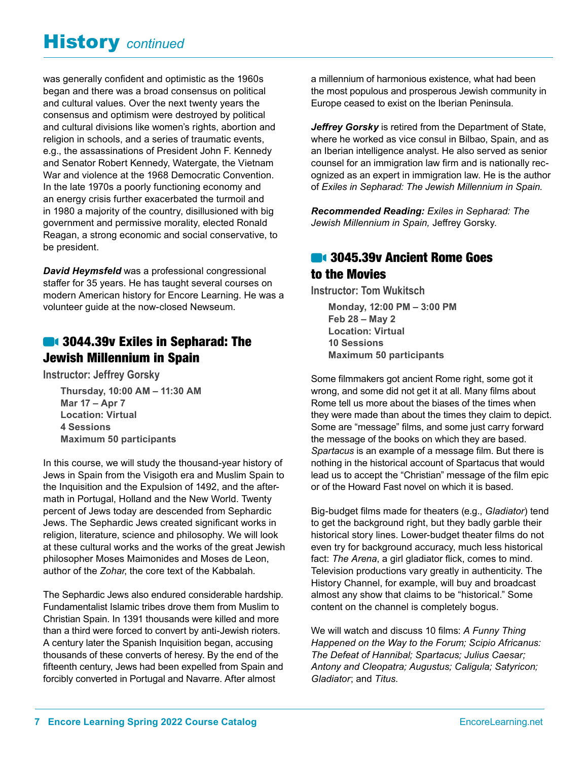# History *continued*

was generally confident and optimistic as the 1960s began and there was a broad consensus on political and cultural values. Over the next twenty years the consensus and optimism were destroyed by political and cultural divisions like women's rights, abortion and religion in schools, and a series of traumatic events, e.g., the assassinations of President John F. Kennedy and Senator Robert Kennedy, Watergate, the Vietnam War and violence at the 1968 Democratic Convention. In the late 1970s a poorly functioning economy and an energy crisis further exacerbated the turmoil and in 1980 a majority of the country, disillusioned with big government and permissive morality, elected Ronald Reagan, a strong economic and social conservative, to be president.

*David Heymsfeld* was a professional congressional staffer for 35 years. He has taught several courses on modern American history for Encore Learning. He was a volunteer guide at the now-closed Newseum.

## **3044.39v Exiles in Sepharad: The** Jewish Millennium in Spain

**Instructor: Jeffrey Gorsky**

**Thursday, 10:00 AM – 11:30 AM Mar 17 – Apr 7 Location: Virtual 4 Sessions Maximum 50 participants**

In this course, we will study the thousand-year history of Jews in Spain from the Visigoth era and Muslim Spain to the Inquisition and the Expulsion of 1492, and the aftermath in Portugal, Holland and the New World. Twenty percent of Jews today are descended from Sephardic Jews. The Sephardic Jews created significant works in religion, literature, science and philosophy. We will look at these cultural works and the works of the great Jewish philosopher Moses Maimonides and Moses de Leon, author of the *Zohar*, the core text of the Kabbalah.

The Sephardic Jews also endured considerable hardship. Fundamentalist Islamic tribes drove them from Muslim to Christian Spain. In 1391 thousands were killed and more than a third were forced to convert by anti-Jewish rioters. A century later the Spanish Inquisition began, accusing thousands of these converts of heresy. By the end of the fifteenth century, Jews had been expelled from Spain and forcibly converted in Portugal and Navarre. After almost

a millennium of harmonious existence, what had been the most populous and prosperous Jewish community in Europe ceased to exist on the Iberian Peninsula.

Jeffrey Gorsky is retired from the Department of State, where he worked as vice consul in Bilbao, Spain, and as an Iberian intelligence analyst. He also served as senior counsel for an immigration law firm and is nationally recognized as an expert in immigration law. He is the author of *Exiles in Sepharad: The Jewish Millennium in Spain.*

*Recommended Reading: Exiles in Sepharad: The Jewish Millennium in Spain,* Jeffrey Gorsky.

#### **614 3045.39v Ancient Rome Goes** to the Movies

**Instructor: Tom Wukitsch**

**Monday, 12:00 PM – 3:00 PM Feb 28 – May 2 Location: Virtual 10 Sessions Maximum 50 participants**

Some filmmakers got ancient Rome right, some got it wrong, and some did not get it at all. Many films about Rome tell us more about the biases of the times when they were made than about the times they claim to depict. Some are "message" films, and some just carry forward the message of the books on which they are based. *Spartacus* is an example of a message film. But there is nothing in the historical account of Spartacus that would lead us to accept the "Christian" message of the film epic or of the Howard Fast novel on which it is based.

Big-budget films made for theaters (e.g., *Gladiator*) tend to get the background right, but they badly garble their historical story lines. Lower-budget theater films do not even try for background accuracy, much less historical fact: *The Arena*, a girl gladiator flick, comes to mind. Television productions vary greatly in authenticity. The History Channel, for example, will buy and broadcast almost any show that claims to be "historical." Some content on the channel is completely bogus.

We will watch and discuss 10 films: *A Funny Thing Happened on the Way to the Forum; Scipio Africanus: The Defeat of Hannibal; Spartacus; Julius Caesar; Antony and Cleopatra; Augustus; Caligula; Satyricon; Gladiator*; and *Titus*.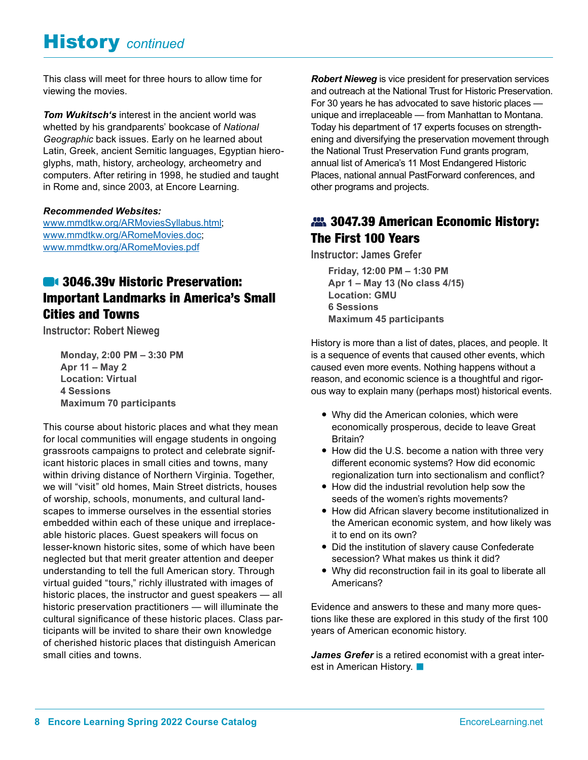## History *continued*

This class will meet for three hours to allow time for viewing the movies.

*Tom Wukitsch's* interest in the ancient world was whetted by his grandparents' bookcase of *National Geographic* back issues. Early on he learned about Latin, Greek, ancient Semitic languages, Egyptian hieroglyphs, math, history, archeology, archeometry and computers. After retiring in 1998, he studied and taught in Rome and, since 2003, at Encore Learning.

#### *Recommended Websites:*

[www.mmdtkw.org/ARMoviesSyllabus.html;](http://www.mmdtkw.org/ARMoviesSyllabus.html) [www.mmdtkw.org/ARomeMovies.doc;](http://www.mmdtkw.org/ARomeMovies.doc) [www.mmdtkw.org/ARomeMovies.pdf](http://www.mmdtkw.org/ARomeMovies.pdf)

## **3046.39v Historic Preservation:** Important Landmarks in America's Small Cities and Towns

**Instructor: Robert Nieweg**

**Monday, 2:00 PM – 3:30 PM Apr 11 – May 2 Location: Virtual 4 Sessions Maximum 70 participants**

This course about historic places and what they mean for local communities will engage students in ongoing grassroots campaigns to protect and celebrate significant historic places in small cities and towns, many within driving distance of Northern Virginia. Together, we will "visit" old homes, Main Street districts, houses of worship, schools, monuments, and cultural landscapes to immerse ourselves in the essential stories embedded within each of these unique and irreplaceable historic places. Guest speakers will focus on lesser-known historic sites, some of which have been neglected but that merit greater attention and deeper understanding to tell the full American story. Through virtual guided "tours," richly illustrated with images of historic places, the instructor and guest speakers — all historic preservation practitioners — will illuminate the cultural significance of these historic places. Class participants will be invited to share their own knowledge of cherished historic places that distinguish American small cities and towns.

*Robert Nieweg* is vice president for preservation services and outreach at the National Trust for Historic Preservation. For 30 years he has advocated to save historic places unique and irreplaceable — from Manhattan to Montana. Today his department of 17 experts focuses on strengthening and diversifying the preservation movement through the National Trust Preservation Fund grants program, annual list of America's 11 Most Endangered Historic Places, national annual PastForward conferences, and other programs and projects.

#### **22.** 3047.39 American Economic History: The First 100 Years

**Instructor: James Grefer**

**Friday, 12:00 PM – 1:30 PM Apr 1 – May 13 (No class 4/15) Location: GMU 6 Sessions Maximum 45 participants**

History is more than a list of dates, places, and people. It is a sequence of events that caused other events, which caused even more events. Nothing happens without a reason, and economic science is a thoughtful and rigorous way to explain many (perhaps most) historical events.

- Why did the American colonies, which were economically prosperous, decide to leave Great Britain?
- How did the U.S. become a nation with three very different economic systems? How did economic regionalization turn into sectionalism and conflict?
- How did the industrial revolution help sow the seeds of the women's rights movements?
- How did African slavery become institutionalized in the American economic system, and how likely was it to end on its own?
- Did the institution of slavery cause Confederate secession? What makes us think it did?
- Why did reconstruction fail in its goal to liberate all Americans?

Evidence and answers to these and many more questions like these are explored in this study of the first 100 years of American economic history.

*James Grefer* is a retired economist with a great interest in American History.  $\blacksquare$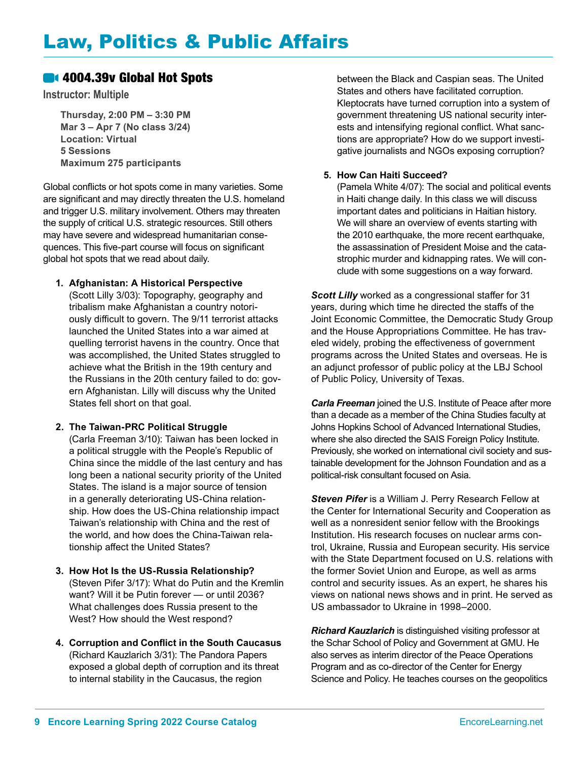## Law, Politics & Public Affairs

#### **614** 4004.39v Global Hot Spots

**Instructor: Multiple** 

**Thursday, 2:00 PM – 3:30 PM Mar 3 – Apr 7 (No class 3/24) Location: Virtual 5 Sessions Maximum 275 participants**

Global conflicts or hot spots come in many varieties. Some are significant and may directly threaten the U.S. homeland and trigger U.S. military involvement. Others may threaten the supply of critical U.S. strategic resources. Still others may have severe and widespread humanitarian consequences. This five-part course will focus on significant global hot spots that we read about daily.

#### **1. Afghanistan: A Historical Perspective**

(Scott Lilly 3/03): Topography, geography and tribalism make Afghanistan a country notoriously difficult to govern. The 9/11 terrorist attacks launched the United States into a war aimed at quelling terrorist havens in the country. Once that was accomplished, the United States struggled to achieve what the British in the 19th century and the Russians in the 20th century failed to do: govern Afghanistan. Lilly will discuss why the United States fell short on that goal.

#### **2. The Taiwan-PRC Political Struggle**

(Carla Freeman 3/10): Taiwan has been locked in a political struggle with the People's Republic of China since the middle of the last century and has long been a national security priority of the United States. The island is a major source of tension in a generally deteriorating US-China relationship. How does the US-China relationship impact Taiwan's relationship with China and the rest of the world, and how does the China-Taiwan relationship affect the United States?

- **3. How Hot Is the US-Russia Relationship?** (Steven Pifer 3/17): What do Putin and the Kremlin want? Will it be Putin forever — or until 2036? What challenges does Russia present to the West? How should the West respond?
- **4. Corruption and Conflict in the South Caucasus** (Richard Kauzlarich 3/31): The Pandora Papers exposed a global depth of corruption and its threat to internal stability in the Caucasus, the region

between the Black and Caspian seas. The United States and others have facilitated corruption. Kleptocrats have turned corruption into a system of government threatening US national security interests and intensifying regional conflict. What sanctions are appropriate? How do we support investigative journalists and NGOs exposing corruption?

#### **5. How Can Haiti Succeed?**

(Pamela White 4/07): The social and political events in Haiti change daily. In this class we will discuss important dates and politicians in Haitian history. We will share an overview of events starting with the 2010 earthquake, the more recent earthquake, the assassination of President Moise and the catastrophic murder and kidnapping rates. We will conclude with some suggestions on a way forward.

*Scott Lilly* worked as a congressional staffer for 31 years, during which time he directed the staffs of the Joint Economic Committee, the Democratic Study Group and the House Appropriations Committee. He has traveled widely, probing the effectiveness of government programs across the United States and overseas. He is an adjunct professor of public policy at the LBJ School of Public Policy, University of Texas.

*Carla Freeman* joined the U.S. Institute of Peace after more than a decade as a member of the China Studies faculty at Johns Hopkins School of Advanced International Studies, where she also directed the SAIS Foreign Policy Institute. Previously, she worked on international civil society and sustainable development for the Johnson Foundation and as a political-risk consultant focused on Asia.

*Steven Pifer* is a William J. Perry Research Fellow at the Center for International Security and Cooperation as well as a nonresident senior fellow with the Brookings Institution. His research focuses on nuclear arms control, Ukraine, Russia and European security. His service with the State Department focused on U.S. relations with the former Soviet Union and Europe, as well as arms control and security issues. As an expert, he shares his views on national news shows and in print. He served as US ambassador to Ukraine in 1998–2000.

*Richard Kauzlarich* is distinguished visiting professor at the Schar School of Policy and Government at GMU. He also serves as interim director of the Peace Operations Program and as co-director of the Center for Energy Science and Policy. He teaches courses on the geopolitics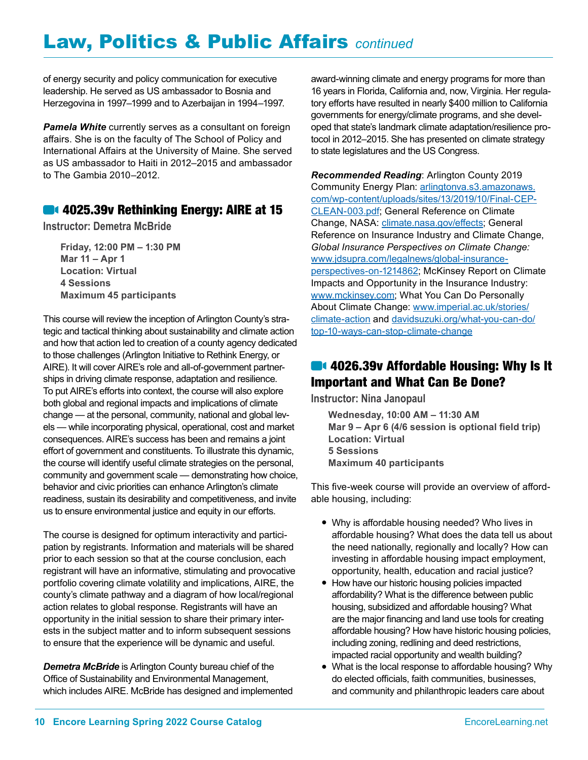of energy security and policy communication for executive leadership. He served as US ambassador to Bosnia and Herzegovina in 1997–1999 and to Azerbaijan in 1994–1997.

*Pamela White* currently serves as a consultant on foreign affairs. She is on the faculty of The School of Policy and International Affairs at the University of Maine. She served as US ambassador to Haiti in 2012–2015 and ambassador to The Gambia 2010–2012.

#### **4025.39v Rethinking Energy: AIRE at 15**

**Instructor: Demetra McBride**

**Friday, 12:00 PM – 1:30 PM Mar 11 – Apr 1 Location: Virtual 4 Sessions Maximum 45 participants**

This course will review the inception of Arlington County's strategic and tactical thinking about sustainability and climate action and how that action led to creation of a county agency dedicated to those challenges (Arlington Initiative to Rethink Energy, or AIRE). It will cover AIRE's role and all-of-government partnerships in driving climate response, adaptation and resilience. To put AIRE's efforts into context, the course will also explore both global and regional impacts and implications of climate change — at the personal, community, national and global levels — while incorporating physical, operational, cost and market consequences. AIRE's success has been and remains a joint effort of government and constituents. To illustrate this dynamic, the course will identify useful climate strategies on the personal, community and government scale — demonstrating how choice, behavior and civic priorities can enhance Arlington's climate readiness, sustain its desirability and competitiveness, and invite us to ensure environmental justice and equity in our efforts.

The course is designed for optimum interactivity and participation by registrants. Information and materials will be shared prior to each session so that at the course conclusion, each registrant will have an informative, stimulating and provocative portfolio covering climate volatility and implications, AIRE, the county's climate pathway and a diagram of how local/regional action relates to global response. Registrants will have an opportunity in the initial session to share their primary interests in the subject matter and to inform subsequent sessions to ensure that the experience will be dynamic and useful.

*Demetra McBride* is Arlington County bureau chief of the Office of Sustainability and Environmental Management, which includes AIRE. McBride has designed and implemented award-winning climate and energy programs for more than 16 years in Florida, California and, now, Virginia. Her regulatory efforts have resulted in nearly \$400 million to California governments for energy/climate programs, and she developed that state's landmark climate adaptation/resilience protocol in 2012–2015. She has presented on climate strategy to state legislatures and the US Congress.

*Recommended Reading*: Arlington County 2019 Community Energy Plan: [arlingtonva.s3.amazonaws.](http://arlingtonva.s3.amazonaws.com/wp-content/uploads/sites/13/2019/10/Final-CEP-CLEAN-003.pdf) [com/wp-content/uploads/sites/13/2019/10/Final-CEP-](http://arlingtonva.s3.amazonaws.com/wp-content/uploads/sites/13/2019/10/Final-CEP-CLEAN-003.pdf)[CLEAN-003.pdf](http://arlingtonva.s3.amazonaws.com/wp-content/uploads/sites/13/2019/10/Final-CEP-CLEAN-003.pdf); General Reference on Climate Change, NASA: [climate.nasa.gov/effects](http://climate.nasa.gov/effects); General Reference on Insurance Industry and Climate Change, *[Global Insurance Perspectives on Climate Change:](http://www.jdsupra.com/legalnews/global-insurance-perspectives-on-1214862/%3B)*  [www.jdsupra.com/legalnews/global-insurance](http://www.jdsupra.com/legalnews/global-insurance-perspectives-on-1214862)[perspectives-on-1214862](http://www.jdsupra.com/legalnews/global-insurance-perspectives-on-1214862); McKinsey Report on Climate Impacts and Opportunity in the Insurance Industry: [www.mckinsey.com;](http://www.mckinsey.com) What You Can Do Personally About Climate Change: [www.imperial.ac.uk/stories/](http://www.imperial.ac.uk/stories/climate-action) [climate-action](http://www.imperial.ac.uk/stories/climate-action) and [davidsuzuki.org/what-you-can-do/](http://davidsuzuki.org/what-you-can-do/top-10-ways-can-stop-climate-change) [top-10-ways-can-stop-climate-change](http://davidsuzuki.org/what-you-can-do/top-10-ways-can-stop-climate-change)

#### **4026.39v Affordable Housing: Why Is It** Important and What Can Be Done?

**Instructor: Nina Janopaul**

**Wednesday, 10:00 AM – 11:30 AM Mar 9 – Apr 6 (4/6 session is optional field trip) Location: Virtual 5 Sessions Maximum 40 participants**

This five-week course will provide an overview of affordable housing, including:

- Why is affordable housing needed? Who lives in affordable housing? What does the data tell us about the need nationally, regionally and locally? How can investing in affordable housing impact employment, opportunity, health, education and racial justice?
- How have our historic housing policies impacted affordability? What is the difference between public housing, subsidized and affordable housing? What are the major financing and land use tools for creating affordable housing? How have historic housing policies, including zoning, redlining and deed restrictions, impacted racial opportunity and wealth building?
- What is the local response to affordable housing? Why do elected officials, faith communities, businesses, and community and philanthropic leaders care about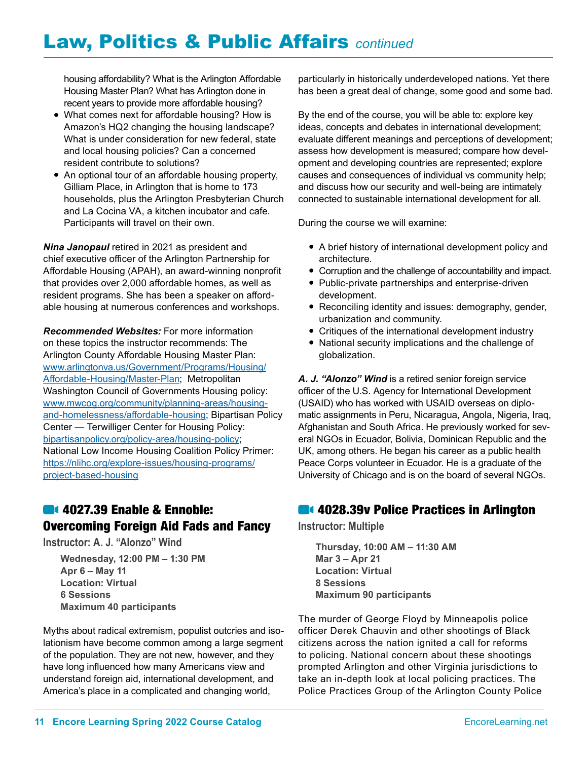housing affordability? What is the Arlington Affordable Housing Master Plan? What has Arlington done in recent years to provide more affordable housing?

- What comes next for affordable housing? How is Amazon's HQ2 changing the housing landscape? What is under consideration for new federal, state and local housing policies? Can a concerned resident contribute to solutions?
- An optional tour of an affordable housing property, Gilliam Place, in Arlington that is home to 173 households, plus the Arlington Presbyterian Church and La Cocina VA, a kitchen incubator and cafe. Participants will travel on their own.

*Nina Janopaul* retired in 2021 as president and chief executive officer of the Arlington Partnership for Affordable Housing (APAH), an award-winning nonprofit that provides over 2,000 affordable homes, as well as resident programs. She has been a speaker on affordable housing at numerous conferences and workshops.

*Recommended Websites:* For more information on these topics the instructor recommends: The Arlington County Affordable Housing Master Plan: [www.arlingtonva.us/Government/Programs/Housing/](http://www.arlingtonva.us/Government/Programs/Housing/Affordable-Housing/Master-Plan) [Affordable-Housing/Master-Plan](http://www.arlingtonva.us/Government/Programs/Housing/Affordable-Housing/Master-Plan); Metropolitan Washington Council of Governments Housing policy: [www.mwcog.org/community/planning-areas/housing](http://www.mwcog.org/community/planning-areas/housing-and-homelessness/affordable-housing)[and-homelessness/affordable-housing](http://www.mwcog.org/community/planning-areas/housing-and-homelessness/affordable-housing); Bipartisan Policy Center — Terwilliger Center for Housing Policy: [bipartisanpolicy.org/policy-area/housing-policy](http://bipartisanpolicy.org/policy-area/housing-policy); National Low Income Housing Coalition Policy Primer: [https://nlihc.org/explore-issues/housing-programs/](https://nlihc.org/explore-issues/housing-programs/project-based-housing) [project-based-housing](https://nlihc.org/explore-issues/housing-programs/project-based-housing)

## **4027.39 Enable & Ennoble:** Overcoming Foreign Aid Fads and Fancy

**Instructor: A. J. "Alonzo" Wind**

**Wednesday, 12:00 PM – 1:30 PM Apr 6 – May 11 Location: Virtual 6 Sessions Maximum 40 participants**

Myths about radical extremism, populist outcries and isolationism have become common among a large segment of the population. They are not new, however, and they have long influenced how many Americans view and understand foreign aid, international development, and America's place in a complicated and changing world,

particularly in historically underdeveloped nations. Yet there has been a great deal of change, some good and some bad.

By the end of the course, you will be able to: explore key ideas, concepts and debates in international development; evaluate different meanings and perceptions of development; assess how development is measured; compare how development and developing countries are represented; explore causes and consequences of individual vs community help; and discuss how our security and well-being are intimately connected to sustainable international development for all.

During the course we will examine:

- A brief history of international development policy and architecture.
- Corruption and the challenge of accountability and impact.
- Public-private partnerships and enterprise-driven development.
- Reconciling identity and issues: demography, gender, urbanization and community.
- Critiques of the international development industry
- National security implications and the challenge of globalization.

*A. J. "Alonzo" Wind* is a retired senior foreign service officer of the U.S. Agency for International Development (USAID) who has worked with USAID overseas on diplomatic assignments in Peru, Nicaragua, Angola, Nigeria, Iraq, Afghanistan and South Africa. He previously worked for several NGOs in Ecuador, Bolivia, Dominican Republic and the UK, among others. He began his career as a public health Peace Corps volunteer in Ecuador. He is a graduate of the University of Chicago and is on the board of several NGOs.

## **64 4028.39v Police Practices in Arlington**

**Instructor: Multiple** 

**Thursday, 10:00 AM – 11:30 AM Mar 3 – Apr 21 Location: Virtual 8 Sessions Maximum 90 participants**

The murder of George Floyd by Minneapolis police officer Derek Chauvin and other shootings of Black citizens across the nation ignited a call for reforms to policing. National concern about these shootings prompted Arlington and other Virginia jurisdictions to take an in-depth look at local policing practices. The Police Practices Group of the Arlington County Police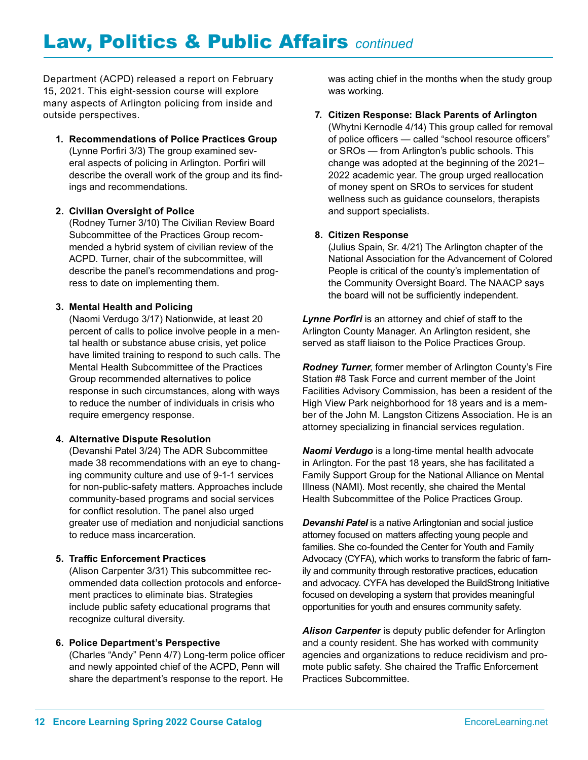Department (ACPD) released a report on February 15, 2021. This eight-session course will explore many aspects of Arlington policing from inside and outside perspectives.

**1. Recommendations of Police Practices Group**  (Lynne Porfiri 3/3) The group examined several aspects of policing in Arlington. Porfiri will describe the overall work of the group and its findings and recommendations.

#### **2. Civilian Oversight of Police**

(Rodney Turner 3/10) The Civilian Review Board Subcommittee of the Practices Group recommended a hybrid system of civilian review of the ACPD. Turner, chair of the subcommittee, will describe the panel's recommendations and progress to date on implementing them.

#### **3. Mental Health and Policing**

(Naomi Verdugo 3/17) Nationwide, at least 20 percent of calls to police involve people in a mental health or substance abuse crisis, yet police have limited training to respond to such calls. The Mental Health Subcommittee of the Practices Group recommended alternatives to police response in such circumstances, along with ways to reduce the number of individuals in crisis who require emergency response.

#### **4. Alternative Dispute Resolution**

(Devanshi Patel 3/24) The ADR Subcommittee made 38 recommendations with an eye to changing community culture and use of 9-1-1 services for non-public-safety matters. Approaches include community-based programs and social services for conflict resolution. The panel also urged greater use of mediation and nonjudicial sanctions to reduce mass incarceration.

#### **5. Traffic Enforcement Practices**

(Alison Carpenter 3/31) This subcommittee recommended data collection protocols and enforcement practices to eliminate bias. Strategies include public safety educational programs that recognize cultural diversity.

#### **6. Police Department's Perspective**

(Charles "Andy" Penn 4/7) Long-term police officer and newly appointed chief of the ACPD, Penn will share the department's response to the report. He

was acting chief in the months when the study group was working.

#### **7. Citizen Response: Black Parents of Arlington**

(Whytni Kernodle 4/14) This group called for removal of police officers — called "school resource officers" or SROs — from Arlington's public schools. This change was adopted at the beginning of the 2021– 2022 academic year. The group urged reallocation of money spent on SROs to services for student wellness such as guidance counselors, therapists and support specialists.

#### **8. Citizen Response**

(Julius Spain, Sr. 4/21) The Arlington chapter of the National Association for the Advancement of Colored People is critical of the county's implementation of the Community Oversight Board. The NAACP says the board will not be sufficiently independent.

*Lynne Porfiri* is an attorney and chief of staff to the Arlington County Manager. An Arlington resident, she served as staff liaison to the Police Practices Group.

*Rodney Turner*, former member of Arlington County's Fire Station #8 Task Force and current member of the Joint Facilities Advisory Commission, has been a resident of the High View Park neighborhood for 18 years and is a member of the John M. Langston Citizens Association. He is an attorney specializing in financial services regulation.

*Naomi Verdugo* is a long-time mental health advocate in Arlington. For the past 18 years, she has facilitated a Family Support Group for the National Alliance on Mental Illness (NAMI). Most recently, she chaired the Mental Health Subcommittee of the Police Practices Group.

*Devanshi Patel* is a native Arlingtonian and social justice attorney focused on matters affecting young people and families. She co-founded the Center for Youth and Family Advocacy (CYFA), which works to transform the fabric of family and community through restorative practices, education and advocacy. CYFA has developed the BuildStrong Initiative focused on developing a system that provides meaningful opportunities for youth and ensures community safety.

*Alison Carpenter* is deputy public defender for Arlington and a county resident. She has worked with community agencies and organizations to reduce recidivism and promote public safety. She chaired the Traffic Enforcement Practices Subcommittee.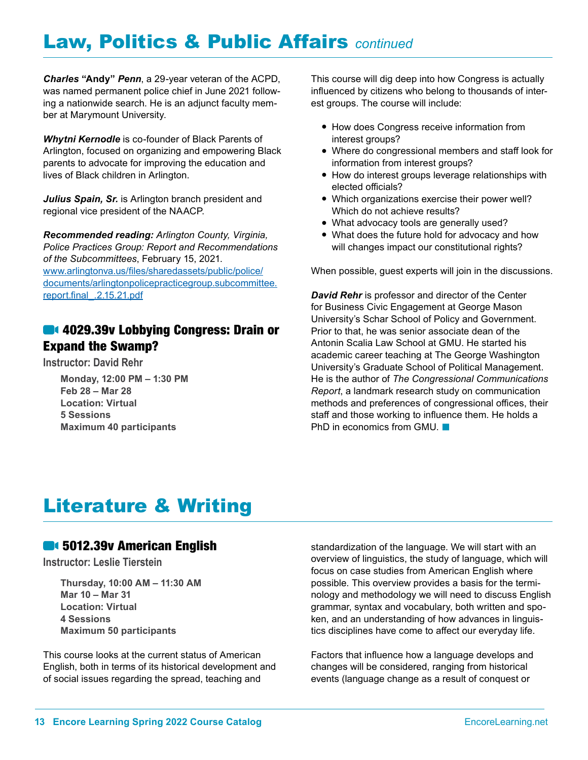*Charles* **"Andy"** *Penn*, a 29-year veteran of the ACPD, was named permanent police chief in June 2021 following a nationwide search. He is an adjunct faculty member at Marymount University.

*Whytni Kernodle* is co-founder of Black Parents of Arlington, focused on organizing and empowering Black parents to advocate for improving the education and lives of Black children in Arlington.

*Julius Spain, Sr.* is Arlington branch president and regional vice president of the NAACP.

*Recommended reading: Arlington County, Virginia, Police Practices Group: Report and Recommendations of the Subcommittees*, February 15, 2021. [www.arlingtonva.us/files/sharedassets/public/police/](http://www.arlingtonva.us/files/sharedassets/public/police/documents/arlingtonpolicepracticegroup.subcommittee.report.final_.2.15.21.pdf) [documents/arlingtonpolicepracticegroup.subcommittee.](http://www.arlingtonva.us/files/sharedassets/public/police/documents/arlingtonpolicepracticegroup.subcommittee.report.final_.2.15.21.pdf) [report.final\\_.2.15.21.pdf](http://www.arlingtonva.us/files/sharedassets/public/police/documents/arlingtonpolicepracticegroup.subcommittee.report.final_.2.15.21.pdf)

## **64 4029.39v Lobbying Congress: Drain or** Expand the Swamp?

**Instructor: David Rehr**

**Monday, 12:00 PM – 1:30 PM Feb 28 – Mar 28 Location: Virtual 5 Sessions Maximum 40 participants**

This course will dig deep into how Congress is actually influenced by citizens who belong to thousands of interest groups. The course will include:

- How does Congress receive information from interest groups?
- Where do congressional members and staff look for information from interest groups?
- How do interest groups leverage relationships with elected officials?
- Which organizations exercise their power well? Which do not achieve results?
- What advocacy tools are generally used?
- What does the future hold for advocacy and how will changes impact our constitutional rights?

When possible, guest experts will join in the discussions.

*David Rehr* is professor and director of the Center for Business Civic Engagement at George Mason University's Schar School of Policy and Government. Prior to that, he was senior associate dean of the Antonin Scalia Law School at GMU. He started his academic career teaching at The George Washington University's Graduate School of Political Management. He is the author of *The Congressional Communications Report*, a landmark research study on communication methods and preferences of congressional offices, their staff and those working to influence them. He holds a PhD in economics from GMU.  $\blacksquare$ 

## Literature & Writing

#### **6012.39v American English**

**Instructor: Leslie Tierstein**

**Thursday, 10:00 AM – 11:30 AM Mar 10 – Mar 31 Location: Virtual 4 Sessions Maximum 50 participants**

This course looks at the current status of American English, both in terms of its historical development and of social issues regarding the spread, teaching and

standardization of the language. We will start with an overview of linguistics, the study of language, which will focus on case studies from American English where possible. This overview provides a basis for the terminology and methodology we will need to discuss English grammar, syntax and vocabulary, both written and spoken, and an understanding of how advances in linguistics disciplines have come to affect our everyday life.

Factors that influence how a language develops and changes will be considered, ranging from historical events (language change as a result of conquest or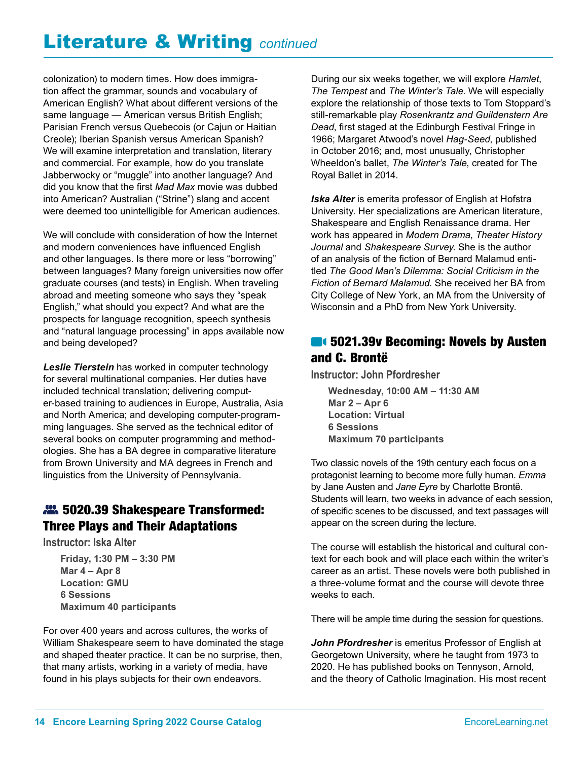## Literature & Writing *continued*

colonization) to modern times. How does immigration affect the grammar, sounds and vocabulary of American English? What about different versions of the same language — American versus British English; Parisian French versus Quebecois (or Cajun or Haitian Creole); Iberian Spanish versus American Spanish? We will examine interpretation and translation, literary and commercial. For example, how do you translate Jabberwocky or "muggle" into another language? And did you know that the first *Mad Max* movie was dubbed into American? Australian ("Strine") slang and accent were deemed too unintelligible for American audiences.

We will conclude with consideration of how the Internet and modern conveniences have influenced English and other languages. Is there more or less "borrowing" between languages? Many foreign universities now offer graduate courses (and tests) in English. When traveling abroad and meeting someone who says they "speak English," what should you expect? And what are the prospects for language recognition, speech synthesis and "natural language processing" in apps available now and being developed?

*Leslie Tierstein* has worked in computer technology for several multinational companies. Her duties have included technical translation; delivering computer-based training to audiences in Europe, Australia, Asia and North America; and developing computer-programming languages. She served as the technical editor of several books on computer programming and methodologies. She has a BA degree in comparative literature from Brown University and MA degrees in French and linguistics from the University of Pennsylvania.

## 5020.39 Shakespeare Transformed: Three Plays and Their Adaptations

**Instructor: Iska Alter**

**Friday, 1:30 PM – 3:30 PM Mar 4 – Apr 8 Location: GMU 6 Sessions Maximum 40 participants**

For over 400 years and across cultures, the works of William Shakespeare seem to have dominated the stage and shaped theater practice. It can be no surprise, then, that many artists, working in a variety of media, have found in his plays subjects for their own endeavors.

During our six weeks together, we will explore *Hamlet*, *The Tempest* and *The Winter's Tale*. We will especially explore the relationship of those texts to Tom Stoppard's still-remarkable play *Rosenkrantz and Guildenstern Are Dead*, first staged at the Edinburgh Festival Fringe in 1966; Margaret Atwood's novel *Hag-Seed*, published in October 2016; and, most unusually, Christopher Wheeldon's ballet, *The Winter's Tale*, created for The Royal Ballet in 2014.

*Iska Alter* is emerita professor of English at Hofstra University. Her specializations are American literature, Shakespeare and English Renaissance drama. Her work has appeared in *Modern Drama*, *Theater History Journal* and *Shakespeare Survey*. She is the author of an analysis of the fiction of Bernard Malamud entitled *The Good Man's Dilemma: Social Criticism in the Fiction of Bernard Malamud*. She received her BA from City College of New York, an MA from the University of Wisconsin and a PhD from New York University.

## **614 5021.39v Becoming: Novels by Austen** and C. Brontë

**Instructor: John Pfordresher**

**Wednesday, 10:00 AM – 11:30 AM Mar 2 – Apr 6 Location: Virtual 6 Sessions Maximum 70 participants**

Two classic novels of the 19th century each focus on a protagonist learning to become more fully human. *Emma*  by Jane Austen and *Jane Eyre* by Charlotte Brontë. Students will learn, two weeks in advance of each session, of specific scenes to be discussed, and text passages will appear on the screen during the lecture.

The course will establish the historical and cultural context for each book and will place each within the writer's career as an artist. These novels were both published in a three-volume format and the course will devote three weeks to each.

There will be ample time during the session for questions.

*John Pfordresher* is emeritus Professor of English at Georgetown University, where he taught from 1973 to 2020. He has published books on Tennyson, Arnold, and the theory of Catholic Imagination. His most recent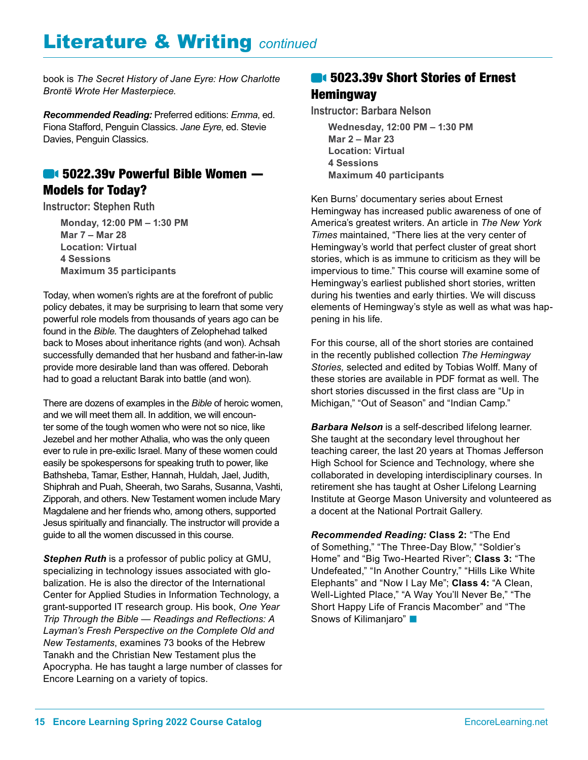# Literature & Writing *continued*

book is *The Secret History of Jane Eyre: How Charlotte Brontë Wrote Her Masterpiece*.

*Recommended Reading:* Preferred editions: *Emma*, ed. Fiona Stafford, Penguin Classics. *Jane Eyre*, ed. Stevie Davies, Penguin Classics.

#### **6022.39v Powerful Bible Women —** Models for Today?

**Instructor: Stephen Ruth**

**Monday, 12:00 PM – 1:30 PM Mar 7 – Mar 28 Location: Virtual 4 Sessions Maximum 35 participants**

Today, when women's rights are at the forefront of public policy debates, it may be surprising to learn that some very powerful role models from thousands of years ago can be found in the *Bible*. The daughters of Zelophehad talked back to Moses about inheritance rights (and won). Achsah successfully demanded that her husband and father-in-law provide more desirable land than was offered. Deborah had to goad a reluctant Barak into battle (and won).

There are dozens of examples in the *Bible* of heroic women, and we will meet them all. In addition, we will encounter some of the tough women who were not so nice, like Jezebel and her mother Athalia, who was the only queen ever to rule in pre-exilic Israel. Many of these women could easily be spokespersons for speaking truth to power, like Bathsheba, Tamar, Esther, Hannah, Huldah, Jael, Judith, Shiphrah and Puah, Sheerah, two Sarahs, Susanna, Vashti, Zipporah, and others. New Testament women include Mary Magdalene and her friends who, among others, supported Jesus spiritually and financially. The instructor will provide a guide to all the women discussed in this course.

*Stephen Ruth* is a professor of public policy at GMU, specializing in technology issues associated with globalization. He is also the director of the International Center for Applied Studies in Information Technology, a grant-supported IT research group. His book, *One Year Trip Through the Bible — Readings and Reflections: A Layman's Fresh Perspective on the Complete Old and New Testaments*, examines 73 books of the Hebrew Tanakh and the Christian New Testament plus the Apocrypha. He has taught a large number of classes for Encore Learning on a variety of topics.

## **6023.39v Short Stories of Ernest Hemingway**

**Instructor: Barbara Nelson**

**Wednesday, 12:00 PM – 1:30 PM Mar 2 – Mar 23 Location: Virtual 4 Sessions Maximum 40 participants**

Ken Burns' documentary series about Ernest Hemingway has increased public awareness of one of America's greatest writers. An article in *The New York Times* maintained, "There lies at the very center of Hemingway's world that perfect cluster of great short stories, which is as immune to criticism as they will be impervious to time." This course will examine some of Hemingway's earliest published short stories, written during his twenties and early thirties. We will discuss elements of Hemingway's style as well as what was happening in his life.

For this course, all of the short stories are contained in the recently published collection *The Hemingway Stories,* selected and edited by Tobias Wolff. Many of these stories are available in PDF format as well. The short stories discussed in the first class are "Up in Michigan," "Out of Season" and "Indian Camp."

*Barbara Nelson* is a self-described lifelong learner. She taught at the secondary level throughout her teaching career, the last 20 years at Thomas Jefferson High School for Science and Technology, where she collaborated in developing interdisciplinary courses. In retirement she has taught at Osher Lifelong Learning Institute at George Mason University and volunteered as a docent at the National Portrait Gallery.

*Recommended Reading:* **Class 2:** "The End of Something," "The Three-Day Blow," "Soldier's Home" and "Big Two-Hearted River"; **Class 3:** "The Undefeated," "In Another Country," "Hills Like White Elephants" and "Now I Lay Me"; **Class 4:** "A Clean, Well-Lighted Place," "A Way You'll Never Be," "The Short Happy Life of Francis Macomber" and "The Snows of Kilimanjaro" **n**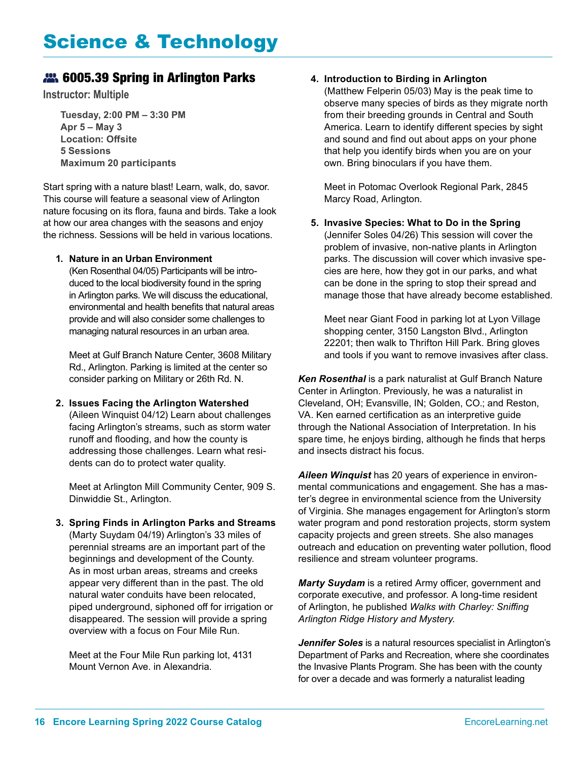#### **22.** 6005.39 Spring in Arlington Parks

**Instructor: Multiple** 

**Tuesday, 2:00 PM – 3:30 PM Apr 5 – May 3 Location: Offsite 5 Sessions Maximum 20 participants**

Start spring with a nature blast! Learn, walk, do, savor. This course will feature a seasonal view of Arlington nature focusing on its flora, fauna and birds. Take a look at how our area changes with the seasons and enjoy the richness. Sessions will be held in various locations.

#### **1. Nature in an Urban Environment**

(Ken Rosenthal 04/05) Participants will be introduced to the local biodiversity found in the spring in Arlington parks. We will discuss the educational, environmental and health benefits that natural areas provide and will also consider some challenges to managing natural resources in an urban area.

Meet at Gulf Branch Nature Center, 3608 Military Rd., Arlington. Parking is limited at the center so consider parking on Military or 26th Rd. N.

**2. Issues Facing the Arlington Watershed** (Aileen Winquist 04/12) Learn about challenges facing Arlington's streams, such as storm water runoff and flooding, and how the county is addressing those challenges. Learn what residents can do to protect water quality.

Meet at Arlington Mill Community Center, 909 S. Dinwiddie St., Arlington.

**3. Spring Finds in Arlington Parks and Streams** (Marty Suydam 04/19) Arlington's 33 miles of perennial streams are an important part of the beginnings and development of the County. As in most urban areas, streams and creeks appear very different than in the past. The old natural water conduits have been relocated, piped underground, siphoned off for irrigation or disappeared. The session will provide a spring overview with a focus on Four Mile Run.

Meet at the Four Mile Run parking lot, 4131 Mount Vernon Ave. in Alexandria.

#### **4. Introduction to Birding in Arlington**

(Matthew Felperin 05/03) May is the peak time to observe many species of birds as they migrate north from their breeding grounds in Central and South America. Learn to identify different species by sight and sound and find out about apps on your phone that help you identify birds when you are on your own. Bring binoculars if you have them.

Meet in Potomac Overlook Regional Park, 2845 Marcy Road, Arlington.

**5. Invasive Species: What to Do in the Spring** (Jennifer Soles 04/26) This session will cover the problem of invasive, non-native plants in Arlington parks. The discussion will cover which invasive species are here, how they got in our parks, and what can be done in the spring to stop their spread and manage those that have already become established.

Meet near Giant Food in parking lot at Lyon Village shopping center, 3150 Langston Blvd., Arlington 22201; then walk to Thrifton Hill Park. Bring gloves and tools if you want to remove invasives after class.

*Ken Rosenthal* is a park naturalist at Gulf Branch Nature Center in Arlington. Previously, he was a naturalist in Cleveland, OH; Evansville, IN; Golden, CO.; and Reston, VA. Ken earned certification as an interpretive guide through the National Association of Interpretation. In his spare time, he enjoys birding, although he finds that herps and insects distract his focus.

*Aileen Winquist* has 20 years of experience in environmental communications and engagement. She has a master's degree in environmental science from the University of Virginia. She manages engagement for Arlington's storm water program and pond restoration projects, storm system capacity projects and green streets. She also manages outreach and education on preventing water pollution, flood resilience and stream volunteer programs.

*Marty Suydam* is a retired Army officer, government and corporate executive, and professor. A long-time resident of Arlington, he published *Walks with Charley: Sniffing Arlington Ridge History and Mystery.*

*Jennifer Soles* is a natural resources specialist in Arlington's Department of Parks and Recreation, where she coordinates the Invasive Plants Program. She has been with the county for over a decade and was formerly a naturalist leading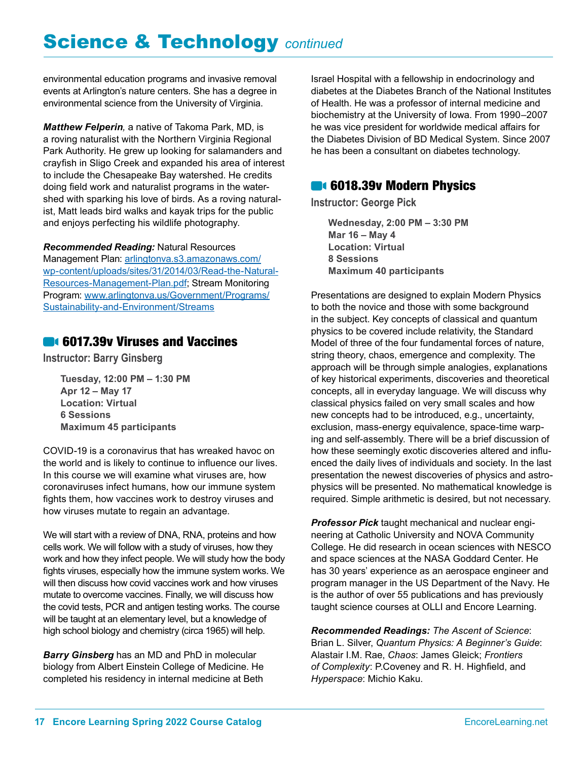# Science & Technology *continued*

environmental education programs and invasive removal events at Arlington's nature centers. She has a degree in environmental science from the University of Virginia.

*Matthew Felperin,* a native of Takoma Park, MD, is a roving naturalist with the Northern Virginia Regional Park Authority. He grew up looking for salamanders and crayfish in Sligo Creek and expanded his area of interest to include the Chesapeake Bay watershed. He credits doing field work and naturalist programs in the watershed with sparking his love of birds. As a roving naturalist, Matt leads bird walks and kayak trips for the public and enjoys perfecting his wildlife photography.

*Recommended Reading:* Natural Resources Management Plan: [arlingtonva.s3.amazonaws.com/](http://arlingtonva.s3.amazonaws.com/wp-content/uploads/sites/31/2014/03/Read-the-Natural-Resources-Management-Plan.pdf) [wp-content/uploads/sites/31/2014/03/Read-the-Natural-](http://arlingtonva.s3.amazonaws.com/wp-content/uploads/sites/31/2014/03/Read-the-Natural-Resources-Management-Plan.pdf)[Resources-Management-Plan.pdf](http://arlingtonva.s3.amazonaws.com/wp-content/uploads/sites/31/2014/03/Read-the-Natural-Resources-Management-Plan.pdf); Stream Monitoring Program: [www.arlingtonva.us/Government/Programs/](http://www.arlingtonva.us/Government/Programs/Sustainability-and-Environment/Streams) [Sustainability-and-Environment/Streams](http://www.arlingtonva.us/Government/Programs/Sustainability-and-Environment/Streams)

#### **6017.39v Viruses and Vaccines**

**Instructor: Barry Ginsberg**

**Tuesday, 12:00 PM – 1:30 PM Apr 12 – May 17 Location: Virtual 6 Sessions Maximum 45 participants**

COVID-19 is a coronavirus that has wreaked havoc on the world and is likely to continue to influence our lives. In this course we will examine what viruses are, how coronaviruses infect humans, how our immune system fights them, how vaccines work to destroy viruses and how viruses mutate to regain an advantage.

We will start with a review of DNA, RNA, proteins and how cells work. We will follow with a study of viruses, how they work and how they infect people. We will study how the body fights viruses, especially how the immune system works. We will then discuss how covid vaccines work and how viruses mutate to overcome vaccines. Finally, we will discuss how the covid tests, PCR and antigen testing works. The course will be taught at an elementary level, but a knowledge of high school biology and chemistry (circa 1965) will help.

*Barry Ginsberg* has an MD and PhD in molecular biology from Albert Einstein College of Medicine. He completed his residency in internal medicine at Beth Israel Hospital with a fellowship in endocrinology and diabetes at the Diabetes Branch of the National Institutes of Health. He was a professor of internal medicine and biochemistry at the University of Iowa. From 1990–2007 he was vice president for worldwide medical affairs for the Diabetes Division of BD Medical System. Since 2007 he has been a consultant on diabetes technology.

#### **6018.39v Modern Physics**

**Instructor: George Pick**

**Wednesday, 2:00 PM – 3:30 PM Mar 16 – May 4 Location: Virtual 8 Sessions Maximum 40 participants**

Presentations are designed to explain Modern Physics to both the novice and those with some background in the subject. Key concepts of classical and quantum physics to be covered include relativity, the Standard Model of three of the four fundamental forces of nature, string theory, chaos, emergence and complexity. The approach will be through simple analogies, explanations of key historical experiments, discoveries and theoretical concepts, all in everyday language. We will discuss why classical physics failed on very small scales and how new concepts had to be introduced, e.g., uncertainty, exclusion, mass-energy equivalence, space-time warping and self-assembly. There will be a brief discussion of how these seemingly exotic discoveries altered and influenced the daily lives of individuals and society. In the last presentation the newest discoveries of physics and astrophysics will be presented. No mathematical knowledge is required. Simple arithmetic is desired, but not necessary.

*Professor Pick* taught mechanical and nuclear engineering at Catholic University and NOVA Community College. He did research in ocean sciences with NESCO and space sciences at the NASA Goddard Center. He has 30 years' experience as an aerospace engineer and program manager in the US Department of the Navy. He is the author of over 55 publications and has previously taught science courses at OLLI and Encore Learning.

*Recommended Readings: The Ascent of Science*: Brian L. Silver, *Quantum Physics: A Beginner's Guide*: Alastair I.M. Rae, *Chaos*: James Gleick; *Frontiers of Complexity*: P.Coveney and R. H. Highfield, and *Hyperspace*: Michio Kaku.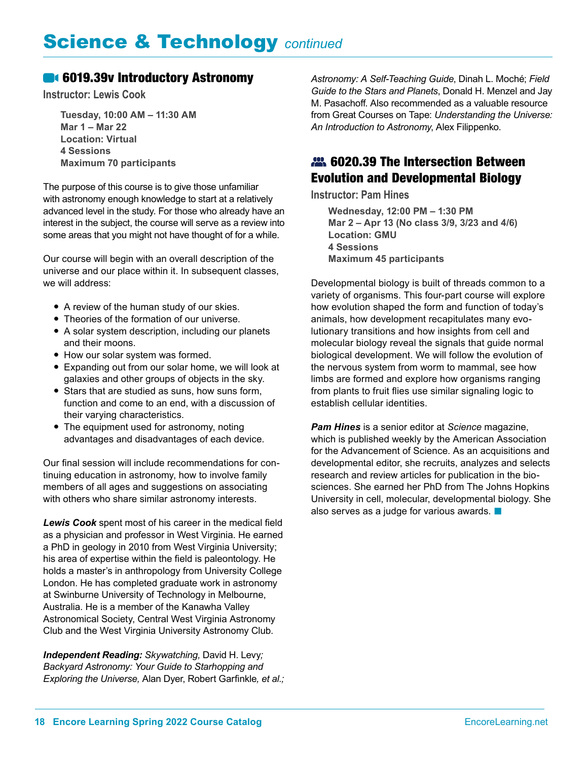#### **6019.39v Introductory Astronomy**

**Instructor: Lewis Cook**

**Tuesday, 10:00 AM – 11:30 AM Mar 1 – Mar 22 Location: Virtual 4 Sessions Maximum 70 participants**

The purpose of this course is to give those unfamiliar with astronomy enough knowledge to start at a relatively advanced level in the study. For those who already have an interest in the subject, the course will serve as a review into some areas that you might not have thought of for a while.

Our course will begin with an overall description of the universe and our place within it. In subsequent classes, we will address:

- A review of the human study of our skies.
- Theories of the formation of our universe.
- A solar system description, including our planets and their moons.
- How our solar system was formed.
- Expanding out from our solar home, we will look at galaxies and other groups of objects in the sky.
- Stars that are studied as suns, how suns form, function and come to an end, with a discussion of their varying characteristics.
- The equipment used for astronomy, noting advantages and disadvantages of each device.

Our final session will include recommendations for continuing education in astronomy, how to involve family members of all ages and suggestions on associating with others who share similar astronomy interests.

*Lewis Cook* spent most of his career in the medical field as a physician and professor in West Virginia. He earned a PhD in geology in 2010 from West Virginia University; his area of expertise within the field is paleontology. He holds a master's in anthropology from University College London. He has completed graduate work in astronomy at Swinburne University of Technology in Melbourne, Australia. He is a member of the Kanawha Valley Astronomical Society, Central West Virginia Astronomy Club and the West Virginia University Astronomy Club.

*Independent Reading: Skywatching,* David H. Levy*; Backyard Astronomy: Your Guide to Starhopping and Exploring the Universe,* Alan Dyer, Robert Garfinkle*, et al.;*  *Astronomy: A Self-Teaching Guide*, Dinah L. Moché; *Field Guide to the Stars and Planets*, Donald H. Menzel and Jay M. Pasachoff. Also recommended as a valuable resource from Great Courses on Tape: *Understanding the Universe: An Introduction to Astronomy*, Alex Filippenko.

## 22. 6020.39 The Intersection Between Evolution and Developmental Biology

**Instructor: Pam Hines**

**Wednesday, 12:00 PM – 1:30 PM Mar 2 – Apr 13 (No class 3/9, 3/23 and 4/6) Location: GMU 4 Sessions Maximum 45 participants**

Developmental biology is built of threads common to a variety of organisms. This four-part course will explore how evolution shaped the form and function of today's animals, how development recapitulates many evolutionary transitions and how insights from cell and molecular biology reveal the signals that guide normal biological development. We will follow the evolution of the nervous system from worm to mammal, see how limbs are formed and explore how organisms ranging from plants to fruit flies use similar signaling logic to establish cellular identities.

*Pam Hines* is a senior editor at *Science* magazine, which is published weekly by the American Association for the Advancement of Science. As an acquisitions and developmental editor, she recruits, analyzes and selects research and review articles for publication in the biosciences. She earned her PhD from The Johns Hopkins University in cell, molecular, developmental biology. She also serves as a judge for various awards.  $\blacksquare$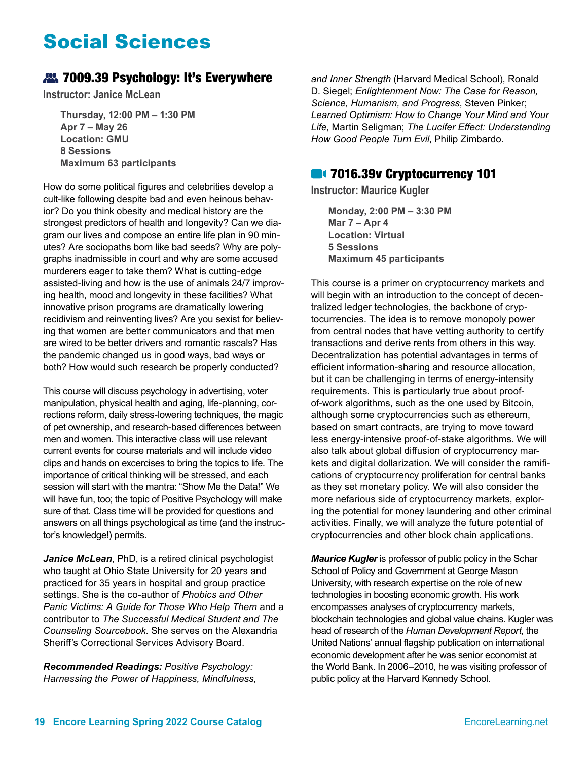## Social Sciences

#### 7009.39 Psychology: It's Everywhere

**Instructor: Janice McLean**

**Thursday, 12:00 PM – 1:30 PM Apr 7 – May 26 Location: GMU 8 Sessions Maximum 63 participants**

How do some political figures and celebrities develop a cult-like following despite bad and even heinous behavior? Do you think obesity and medical history are the strongest predictors of health and longevity? Can we diagram our lives and compose an entire life plan in 90 minutes? Are sociopaths born like bad seeds? Why are polygraphs inadmissible in court and why are some accused murderers eager to take them? What is cutting-edge assisted-living and how is the use of animals 24/7 improving health, mood and longevity in these facilities? What innovative prison programs are dramatically lowering recidivism and reinventing lives? Are you sexist for believing that women are better communicators and that men are wired to be better drivers and romantic rascals? Has the pandemic changed us in good ways, bad ways or both? How would such research be properly conducted?

This course will discuss psychology in advertising, voter manipulation, physical health and aging, life-planning, corrections reform, daily stress-lowering techniques, the magic of pet ownership, and research-based differences between men and women. This interactive class will use relevant current events for course materials and will include video clips and hands on excercises to bring the topics to life. The importance of critical thinking will be stressed, and each session will start with the mantra: "Show Me the Data!" We will have fun, too; the topic of Positive Psychology will make sure of that. Class time will be provided for questions and answers on all things psychological as time (and the instructor's knowledge!) permits.

Janice McLean, PhD, is a retired clinical psychologist who taught at Ohio State University for 20 years and practiced for 35 years in hospital and group practice settings. She is the co-author of *Phobics and Other Panic Victims: A Guide for Those Who Help Them* and a contributor to *The Successful Medical Student and The Counseling Sourcebook*. She serves on the Alexandria Sheriff's Correctional Services Advisory Board.

*Recommended Readings: Positive Psychology: Harnessing the Power of Happiness, Mindfulness,*  *and Inner Strength* (Harvard Medical School), Ronald D. Siegel; *Enlightenment Now: The Case for Reason, Science, Humanism, and Progress*, Steven Pinker; *Learned Optimism: How to Change Your Mind and Your Life*, Martin Seligman; *The Lucifer Effect: Understanding How Good People Turn Evil*, Philip Zimbardo.

#### **814 7016.39v Cryptocurrency 101**

**Instructor: Maurice Kugler**

**Monday, 2:00 PM – 3:30 PM Mar 7 – Apr 4 Location: Virtual 5 Sessions Maximum 45 participants**

This course is a primer on cryptocurrency markets and will begin with an introduction to the concept of decentralized ledger technologies, the backbone of cryptocurrencies. The idea is to remove monopoly power from central nodes that have vetting authority to certify transactions and derive rents from others in this way. Decentralization has potential advantages in terms of efficient information-sharing and resource allocation, but it can be challenging in terms of energy-intensity requirements. This is particularly true about proofof-work algorithms, such as the one used by Bitcoin, although some cryptocurrencies such as ethereum, based on smart contracts, are trying to move toward less energy-intensive proof-of-stake algorithms. We will also talk about global diffusion of cryptocurrency markets and digital dollarization. We will consider the ramifications of cryptocurrency proliferation for central banks as they set monetary policy. We will also consider the more nefarious side of cryptocurrency markets, exploring the potential for money laundering and other criminal activities. Finally, we will analyze the future potential of cryptocurrencies and other block chain applications.

*Maurice Kugler* is professor of public policy in the Schar School of Policy and Government at George Mason University, with research expertise on the role of new technologies in boosting economic growth. His work encompasses analyses of cryptocurrency markets, blockchain technologies and global value chains. Kugler was head of research of the *Human Development Report*, the United Nations' annual flagship publication on international economic development after he was senior economist at the World Bank. In 2006–2010, he was visiting professor of public policy at the Harvard Kennedy School.